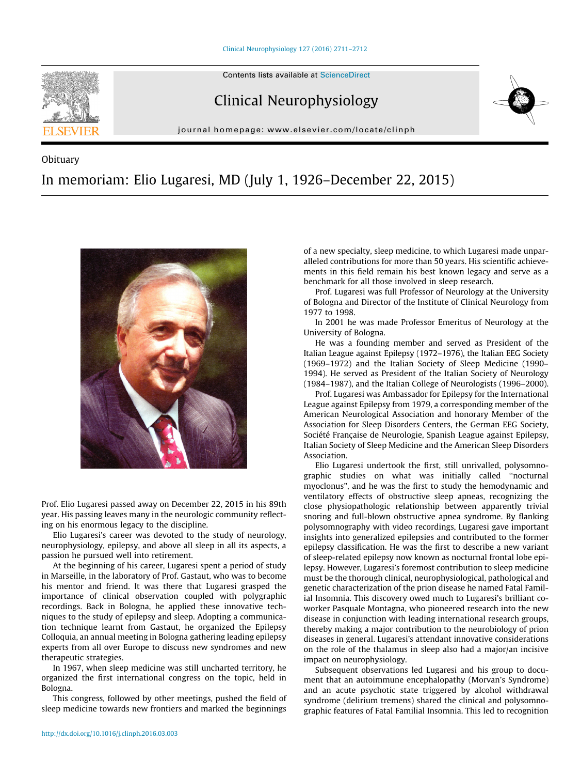

Obituary

Clinical Neurophysiology



journal homepage: [www.elsevier.com/locate/clinph](http://www.elsevier.com/locate/clinph)

## In memoriam: Elio Lugaresi, MD (July 1, 1926–December 22, 2015)



Prof. Elio Lugaresi passed away on December 22, 2015 in his 89th year. His passing leaves many in the neurologic community reflecting on his enormous legacy to the discipline.

Elio Lugaresi's career was devoted to the study of neurology, neurophysiology, epilepsy, and above all sleep in all its aspects, a passion he pursued well into retirement.

At the beginning of his career, Lugaresi spent a period of study in Marseille, in the laboratory of Prof. Gastaut, who was to become his mentor and friend. It was there that Lugaresi grasped the importance of clinical observation coupled with polygraphic recordings. Back in Bologna, he applied these innovative techniques to the study of epilepsy and sleep. Adopting a communication technique learnt from Gastaut, he organized the Epilepsy Colloquia, an annual meeting in Bologna gathering leading epilepsy experts from all over Europe to discuss new syndromes and new therapeutic strategies.

In 1967, when sleep medicine was still uncharted territory, he organized the first international congress on the topic, held in Bologna.

This congress, followed by other meetings, pushed the field of sleep medicine towards new frontiers and marked the beginnings

of a new specialty, sleep medicine, to which Lugaresi made unparalleled contributions for more than 50 years. His scientific achievements in this field remain his best known legacy and serve as a benchmark for all those involved in sleep research.

Prof. Lugaresi was full Professor of Neurology at the University of Bologna and Director of the Institute of Clinical Neurology from 1977 to 1998.

In 2001 he was made Professor Emeritus of Neurology at the University of Bologna.

He was a founding member and served as President of the Italian League against Epilepsy (1972–1976), the Italian EEG Society (1969–1972) and the Italian Society of Sleep Medicine (1990– 1994). He served as President of the Italian Society of Neurology (1984–1987), and the Italian College of Neurologists (1996–2000).

Prof. Lugaresi was Ambassador for Epilepsy for the International League against Epilepsy from 1979, a corresponding member of the American Neurological Association and honorary Member of the Association for Sleep Disorders Centers, the German EEG Society, Société Française de Neurologie, Spanish League against Epilepsy, Italian Society of Sleep Medicine and the American Sleep Disorders Association.

Elio Lugaresi undertook the first, still unrivalled, polysomnographic studies on what was initially called ''nocturnal myoclonus", and he was the first to study the hemodynamic and ventilatory effects of obstructive sleep apneas, recognizing the close physiopathologic relationship between apparently trivial snoring and full-blown obstructive apnea syndrome. By flanking polysomnography with video recordings, Lugaresi gave important insights into generalized epilepsies and contributed to the former epilepsy classification. He was the first to describe a new variant of sleep-related epilepsy now known as nocturnal frontal lobe epilepsy. However, Lugaresi's foremost contribution to sleep medicine must be the thorough clinical, neurophysiological, pathological and genetic characterization of the prion disease he named Fatal Familial Insomnia. This discovery owed much to Lugaresi's brilliant coworker Pasquale Montagna, who pioneered research into the new disease in conjunction with leading international research groups, thereby making a major contribution to the neurobiology of prion diseases in general. Lugaresi's attendant innovative considerations on the role of the thalamus in sleep also had a major/an incisive impact on neurophysiology.

Subsequent observations led Lugaresi and his group to document that an autoimmune encephalopathy (Morvan's Syndrome) and an acute psychotic state triggered by alcohol withdrawal syndrome (delirium tremens) shared the clinical and polysomnographic features of Fatal Familial Insomnia. This led to recognition